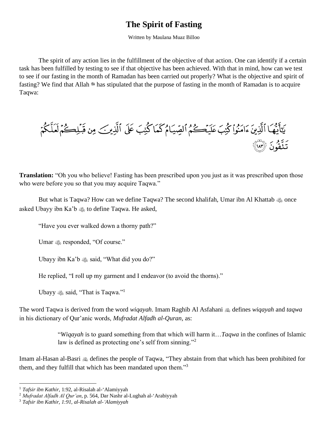## **The Spirit of Fasting**

Written by Maulana Muaz Billoo

The spirit of any action lies in the fulfillment of the objective of that action. One can identify if a certain task has been fulfilled by testing to see if that objective has been achieved. With that in mind, how can we test to see if our fasting in the month of Ramadan has been carried out properly? What is the objective and spirit of fasting? We find that Allah \* has stipulated that the purpose of fasting in the month of Ramadan is to acquire Taqwa:

**Translation:** "Oh you who believe! Fasting has been prescribed upon you just as it was prescribed upon those who were before you so that you may acquire Taqwa."

But what is Taqwa? How can we define Taqwa? The second khalifah, Umar ibn Al Khattab  $\omega$  once asked Ubayy ibn Ka'b to define Taqwa. He asked,

"Have you ever walked down a thorny path?"

Umar  $\triangle$  responded, "Of course."

Ubayy ibn Ka'b  $\otimes$  said, "What did you do?"

He replied, "I roll up my garment and I endeavor (to avoid the thorns)."

Ubayy  $\mathcal{L}$  said, "That is Taqwa."<sup>1</sup>

The word Taqwa is derived from the word *wiqayah*. Imam Raghib Al Asfahani defines *wiqayah* and *taqwa* in his dictionary of Qur'anic words, *Mufradat Alfadh al-Quran*, as:

> "*Wiqayah* is to guard something from that which will harm it…*Taqwa* in the confines of Islamic law is defined as protecting one's self from sinning."<sup>2</sup>

Imam al-Hasan al-Basri  $\triangleq$  defines the people of Taqwa, "They abstain from that which has been prohibited for them, and they fulfill that which has been mandated upon them."<sup>3</sup>

<sup>1</sup> *Tafsir ibn Kathir*, 1:92, al-Risalah al-'Alamiyyah

<sup>2</sup> *Mufradat Alfadh Al Qur'an*, p. 564, Dar Nashr al-Lughah al-'Arabiyyah

<sup>3</sup> *Tafsir ibn Kathir, 1:91, al-Risalah al-'Alamiyyah*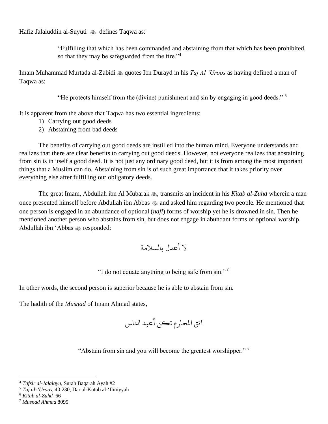Hafiz Jalaluddin al-Suyuti A defines Taqwa as:

"Fulfilling that which has been commanded and abstaining from that which has been prohibited, so that they may be safeguarded from the fire."<sup>4</sup>

Imam Muhammad Murtada al-Zabidi quotes Ibn Durayd in his *Taj Al 'Uroos* as having defined a man of Taqwa as:

"He protects himself from the (divine) punishment and sin by engaging in good deeds." <sup>5</sup>

It is apparent from the above that Taqwa has two essential ingredients:

- 1) Carrying out good deeds
- 2) Abstaining from bad deeds

The benefits of carrying out good deeds are instilled into the human mind. Everyone understands and realizes that there are clear benefits to carrying out good deeds. However, not everyone realizes that abstaining from sin is in itself a good deed. It is not just any ordinary good deed, but it is from among the most important things that a Muslim can do. Abstaining from sin is of such great importance that it takes priority over everything else after fulfilling our obligatory deeds.

The great Imam, Abdullah ibn Al Mubarak , transmits an incident in his *Kitab al-Zuhd* wherein a man once presented himself before Abdullah ibn Abbas  $\omega$  and asked him regarding two people. He mentioned that one person is engaged in an abundance of optional (*nafl*) forms of worship yet he is drowned in sin. Then he mentioned another person who abstains from sin, but does not engage in abundant forms of optional worship. Abdullah ibn 'Abbas  $\triangleleft$ s responded:

ال أعدل بالسالمة

"I do not equate anything to being safe from sin." <sup>6</sup>

In other words, the second person is superior because he is able to abstain from sin.

The hadith of the *Musnad* of Imam Ahmad states,

اتق املحارم تكن أعبد انلاس

"Abstain from sin and you will become the greatest worshipper."<sup>7</sup>

<sup>4</sup> *Tafsir al-Jalalayn*, Surah Baqarah Ayah #2

<sup>5</sup> *Taj al-'Uroos*, 40:230, Dar al-Kutub al-'Ilmiyyah

<sup>6</sup> *Kitab al-Zuhd* 66

<sup>7</sup> *Musnad Ahmad* 8095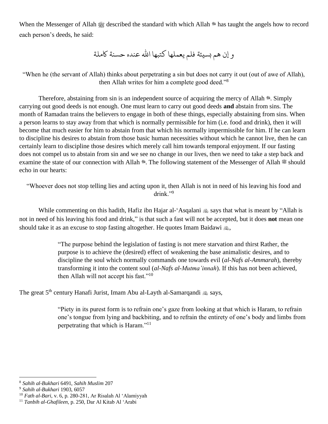When the Messenger of Allah صلى الله عليه وسلم described the standard with which Allah جل جلاله has taught the angels how to record each person's deeds, he said:

و إن هم بسيئة فلم يعملها كتبها الله عنده حسنة كاملة

"When he (the servant of Allah) thinks about perpetrating a sin but does not carry it out (out of awe of Allah), then Allah writes for him a complete good deed."<sup>8</sup>

Therefore, abstaining from sin is an independent source of acquiring the mercy of Allah \*. Simply carrying out good deeds is not enough. One must learn to carry out good deeds **and** abstain from sins. The month of Ramadan trains the believers to engage in both of these things, especially abstaining from sins. When a person learns to stay away from that which is normally permissible for him (i.e. food and drink), then it will become that much easier for him to abstain from that which his normally impermissible for him. If he can learn to discipline his desires to abstain from those basic human necessities without which he cannot live, then he can certainly learn to discipline those desires which merely call him towards temporal enjoyment. If our fasting does not compel us to abstain from sin and we see no change in our lives, then we need to take a step back and examine the state of our connection with Allah \*. The following statement of the Messenger of Allah is should echo in our hearts:

"Whoever does not stop telling lies and acting upon it, then Allah is not in need of his leaving his food and drink."<sup>9</sup>

While commenting on this hadith, Hafiz ibn Hajar al-'Asqalani  $\triangleq$  says that what is meant by "Allah is not in need of his leaving his food and drink," is that such a fast will not be accepted, but it does **not** mean one should take it as an excuse to stop fasting altogether. He quotes Imam Baidawi  $\omega$ ,

> "The purpose behind the legislation of fasting is not mere starvation and thirst Rather, the purpose is to achieve the (desired) effect of weakening the base animalistic desires, and to discipline the soul which normally commands one towards evil (*al-Nafs al-Ammarah*), thereby transforming it into the content soul (*al-Nafs al-Mutma'innah*). If this has not been achieved, then Allah will not accept his fast."<sup>10</sup>

The great 5<sup>th</sup> century Hanafi Jurist, Imam Abu al-Layth al-Samarqandi  $\otimes$  says,

"Piety in its purest form is to refrain one's gaze from looking at that which is Haram, to refrain one's tongue from lying and backbiting, and to refrain the entirety of one's body and limbs from perpetrating that which is Haram."<sup>11</sup>

<sup>8</sup> *Sahih al-Bukhari* 6491, *Sahih Muslim* 207

<sup>9</sup> *Sahih al-Bukhari* 1903, 6057

<sup>10</sup> *Fath al-Bari*, v. 6, p. 280-281, Ar Risalah Al 'Alamiyyah

<sup>11</sup> *Tanbih al-Ghafileen,* p. 250, Dar Al Kitab Al 'Arabi